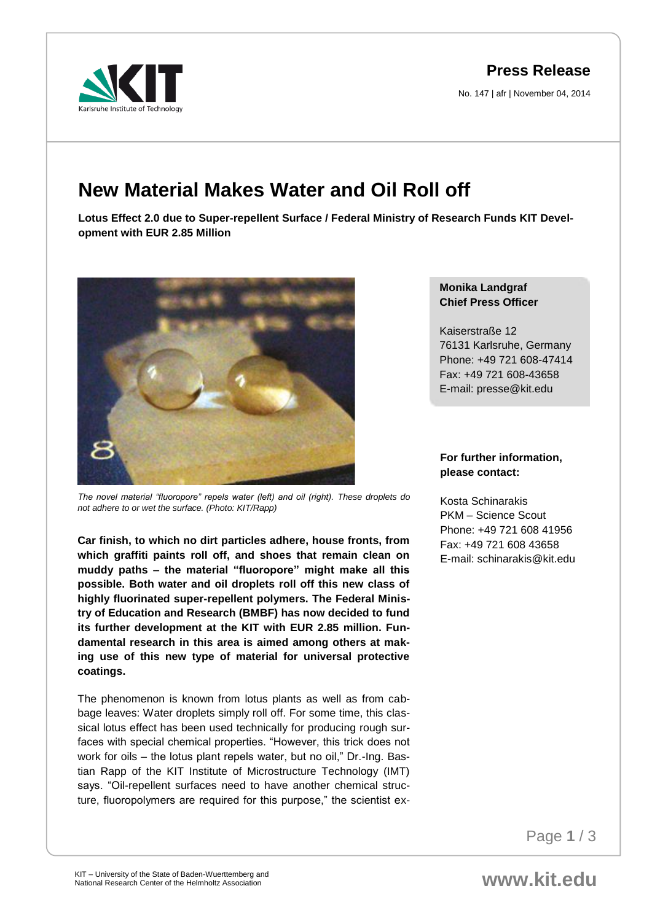arkruhe Institute of Technology

## **Press Release**

No. 147 | afr | November 04, 2014

## **New Material Makes Water and Oil Roll off**

**Lotus Effect 2.0 due to Super-repellent Surface / Federal Ministry of Research Funds KIT Development with EUR 2.85 Million**



*The novel material "fluoropore" repels water (left) and oil (right). These droplets do not adhere to or wet the surface. (Photo: KIT/Rapp)* 

**Car finish, to which no dirt particles adhere, house fronts, from which graffiti paints roll off, and shoes that remain clean on muddy paths – the material "fluoropore" might make all this possible. Both water and oil droplets roll off this new class of highly fluorinated super-repellent polymers. The Federal Ministry of Education and Research (BMBF) has now decided to fund its further development at the KIT with EUR 2.85 million. Fundamental research in this area is aimed among others at making use of this new type of material for universal protective coatings.** 

The phenomenon is known from lotus plants as well as from cabbage leaves: Water droplets simply roll off. For some time, this classical lotus effect has been used technically for producing rough surfaces with special chemical properties. "However, this trick does not work for oils – the lotus plant repels water, but no oil," Dr.-Ing. Bastian Rapp of the KIT Institute of Microstructure Technology (IMT) says. "Oil-repellent surfaces need to have another chemical structure, fluoropolymers are required for this purpose," the scientist ex-

## **Monika Landgraf Chief Press Officer**

Kaiserstraße 12 76131 Karlsruhe, Germany Phone: +49 721 608-47414 Fax: +49 721 608-43658 E-mail: presse@kit.edu

## **For further information, please contact:**

Kosta Schinarakis PKM – Science Scout Phone: +49 721 608 41956 Fax: +49 721 608 43658 E-mail: schinarakis@kit.edu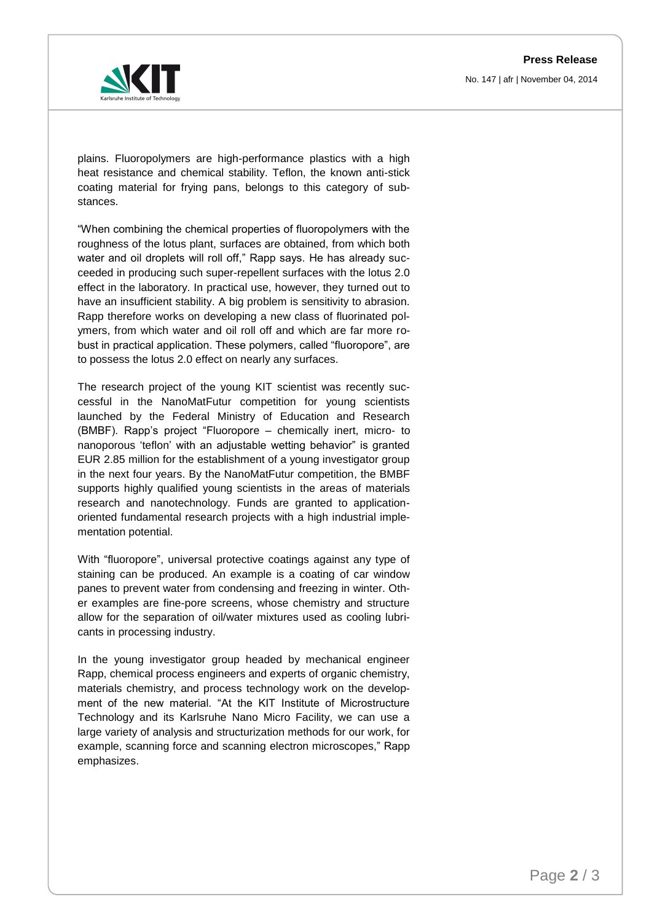

plains. Fluoropolymers are high-performance plastics with a high heat resistance and chemical stability. Teflon, the known anti-stick coating material for frying pans, belongs to this category of substances.

"When combining the chemical properties of fluoropolymers with the roughness of the lotus plant, surfaces are obtained, from which both water and oil droplets will roll off," Rapp says. He has already succeeded in producing such super-repellent surfaces with the lotus 2.0 effect in the laboratory. In practical use, however, they turned out to have an insufficient stability. A big problem is sensitivity to abrasion. Rapp therefore works on developing a new class of fluorinated polymers, from which water and oil roll off and which are far more robust in practical application. These polymers, called "fluoropore", are to possess the lotus 2.0 effect on nearly any surfaces.

The research project of the young KIT scientist was recently successful in the NanoMatFutur competition for young scientists launched by the Federal Ministry of Education and Research (BMBF). Rapp's project "Fluoropore – chemically inert, micro- to nanoporous 'teflon' with an adjustable wetting behavior" is granted EUR 2.85 million for the establishment of a young investigator group in the next four years. By the NanoMatFutur competition, the BMBF supports highly qualified young scientists in the areas of materials research and nanotechnology. Funds are granted to applicationoriented fundamental research projects with a high industrial implementation potential.

With "fluoropore", universal protective coatings against any type of staining can be produced. An example is a coating of car window panes to prevent water from condensing and freezing in winter. Other examples are fine-pore screens, whose chemistry and structure allow for the separation of oil/water mixtures used as cooling lubricants in processing industry.

In the young investigator group headed by mechanical engineer Rapp, chemical process engineers and experts of organic chemistry, materials chemistry, and process technology work on the development of the new material. "At the KIT Institute of Microstructure Technology and its Karlsruhe Nano Micro Facility, we can use a large variety of analysis and structurization methods for our work, for example, scanning force and scanning electron microscopes," Rapp emphasizes.